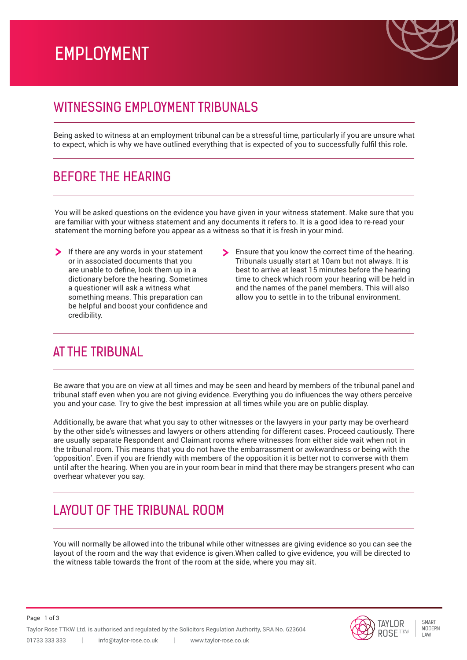# EMPLOYMENT



### WITNESSING FMPLOYMENT TRIBUNALS

Being asked to witness at an employment tribunal can be a stressful time, particularly if you are unsure what to expect, which is why we have outlined everything that is expected of you to successfully fulfil this role.

### BEFORE THE HEARING

You will be asked questions on the evidence you have given in your witness statement. Make sure that you are familiar with your witness statement and any documents it refers to. It is a good idea to re-read your statement the morning before you appear as a witness so that it is fresh in your mind.

- $\sum$  If there are any words in your statement or in associated documents that you are unable to define, look them up in a dictionary before the hearing. Sometimes a questioner will ask a witness what something means. This preparation can be helpful and boost your confidence and credibility.
- Ensure that you know the correct time of the hearing. Tribunals usually start at 10am but not always. It is best to arrive at least 15 minutes before the hearing time to check which room your hearing will be held in and the names of the panel members. This will also allow you to settle in to the tribunal environment.

### AT THE TRIBUNAL

Page 1 of 3

Be aware that you are on view at all times and may be seen and heard by members of the tribunal panel and tribunal staff even when you are not giving evidence. Everything you do influences the way others perceive you and your case. Try to give the best impression at all times while you are on public display.

Additionally, be aware that what you say to other witnesses or the lawyers in your party may be overheard by the other side's witnesses and lawyers or others attending for different cases. Proceed cautiously. There are usually separate Respondent and Claimant rooms where witnesses from either side wait when not in the tribunal room. This means that you do not have the embarrassment or awkwardness or being with the 'opposition'. Even if you are friendly with members of the opposition it is better not to converse with them until after the hearing. When you are in your room bear in mind that there may be strangers present who can overhear whatever you say.

## LAYOUT OF THE TRIBUNAL ROOM

You will normally be allowed into the tribunal while other witnesses are giving evidence so you can see the layout of the room and the way that evidence is given.When called to give evidence, you will be directed to the witness table towards the front of the room at the side, where you may sit.

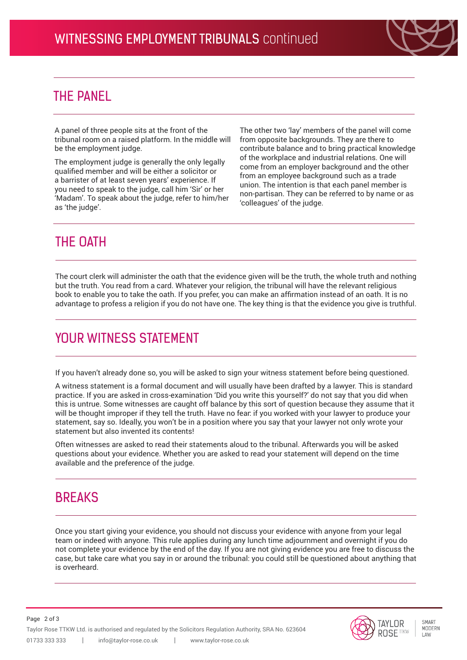

### THE PANEL

A panel of three people sits at the front of the tribunal room on a raised platform. In the middle will be the employment judge.

The employment judge is generally the only legally qualified member and will be either a solicitor or a barrister of at least seven years' experience. If you need to speak to the judge, call him 'Sir' or her 'Madam'. To speak about the judge, refer to him/her as 'the judge'.

The other two 'lay' members of the panel will come from opposite backgrounds. They are there to contribute balance and to bring practical knowledge of the workplace and industrial relations. One will come from an employer background and the other from an employee background such as a trade union. The intention is that each panel member is non-partisan. They can be referred to by name or as 'colleagues' of the judge.

## THE OATH

The court clerk will administer the oath that the evidence given will be the truth, the whole truth and nothing but the truth. You read from a card. Whatever your religion, the tribunal will have the relevant religious book to enable you to take the oath. If you prefer, you can make an affirmation instead of an oath. It is no advantage to profess a religion if you do not have one. The key thing is that the evidence you give is truthful.

## YOUR WITNESS STATEMENT

If you haven't already done so, you will be asked to sign your witness statement before being questioned.

A witness statement is a formal document and will usually have been drafted by a lawyer. This is standard practice. If you are asked in cross-examination 'Did you write this yourself?' do not say that you did when this is untrue. Some witnesses are caught off balance by this sort of question because they assume that it will be thought improper if they tell the truth. Have no fear: if you worked with your lawyer to produce your statement, say so. Ideally, you won't be in a position where you say that your lawyer not only wrote your statement but also invented its contents!

Often witnesses are asked to read their statements aloud to the tribunal. Afterwards you will be asked questions about your evidence. Whether you are asked to read your statement will depend on the time available and the preference of the judge.

### **BREAKS**

Once you start giving your evidence, you should not discuss your evidence with anyone from your legal team or indeed with anyone. This rule applies during any lunch time adjournment and overnight if you do not complete your evidence by the end of the day. If you are not giving evidence you are free to discuss the case, but take care what you say in or around the tribunal: you could still be questioned about anything that is overheard.